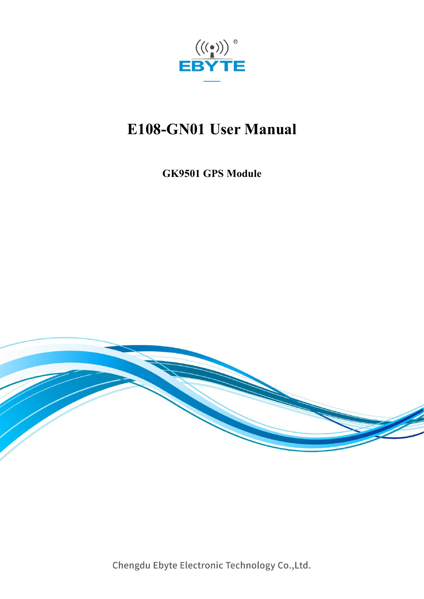

# **E108-GN01 User Manual**

**GK9501 GPS Module**



Chengdu Ebyte Electronic Technology Co., Ltd.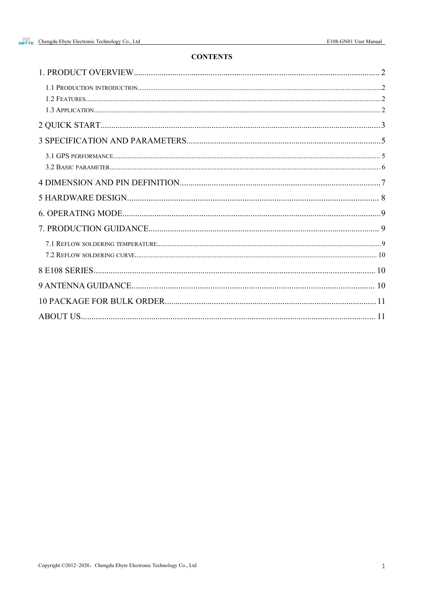#### **CONTENTS**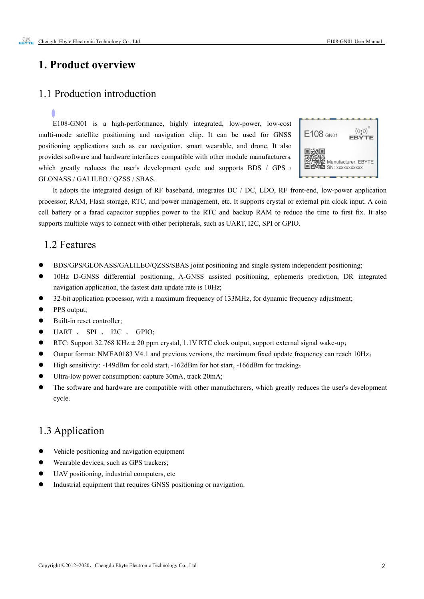#### <span id="page-2-0"></span>**1. Product overview**

#### <span id="page-2-1"></span>1.1 Production introduction

E108-GN01 is a high-performance, highly integrated, low-power, low-cost multi-mode satellite positioning and navigation chip. It can be used for GNSS  $\left| \right|$  E108 GN01 positioning applications such as car navigation, smart wearable, and drone. It also provides software and hardware interfaces compatible with other module manufacturers, which greatly reduces the user's development cycle and supports BDS / GPS  $/$   $\Box$ GLONASS / GALILEO / QZSS/ SBAS.



It adopts the integrated design of RF baseband, integrates DC / DC, LDO, RF front-end, low-power application processor, RAM, Flash storage, RTC, and power management, etc. It supports crystal or external pin clock input. A coin cell battery or a farad capacitor supplies power to the RTC and backup RAM to reduce the time to first fix. It also supports multiple ways to connect with other peripherals, such as UART, I2C, SPI or GPIO.

#### <span id="page-2-2"></span>1.2 Features

- BDS/GPS/GLONASS/GALILEO/QZSS/SBAS joint positioning and single system independent positioning;
- 10Hz D-GNSS differential positioning, A-GNSS assisted positioning, ephemeris prediction, DR integrated navigation application, the fastest data update rate is 10Hz;
- 32-bit application processor, with a maximum frequency of 133MHz, for dynamic frequency adjustment;
- PPS output:
- Built-in reset controller;
- UART 、 SPI 、 I2C 、 GPIO;
- **•** RTC: Support 32.768 KHz  $\pm$  20 ppm crystal, 1.1V RTC clock output, support external signal wake-up;
- Output format: NMEA0183 V4.1 and previous versions, the maximum fixed update frequency can reach 10Hz;
- $\bullet$  High sensitivity: -149dBm for cold start, -162dBm for hot start, -166dBm for tracking;
- Ultra-low power consumption: capture 30mA, track 20mA;
- The software and hardware are compatible with other manufacturers, which greatly reduces the user's development cycle.

#### <span id="page-2-3"></span>1.3 Application

- Vehicle positioning and navigation equipment
- Wearable devices, such as GPS trackers;
- UAV positioning, industrial computers, etc
- Industrial equipment that requires GNSS positioning or navigation.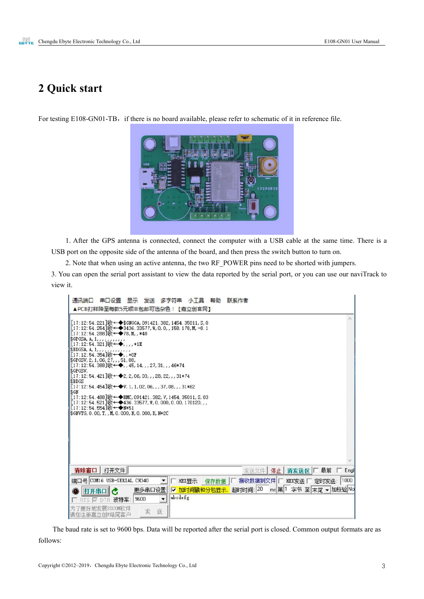### <span id="page-3-0"></span>**2 Quick start**

For testing E108-GN01-TB, if there is no board available, please refer to schematic of it in reference file.



1. After the GPS antenna is connected, connect the computer with a USB cable at the same time. There is a USB port on the opposite side of the antenna of the board, and then press the switch button to turn on.

2. Note that when using an active antenna, the two RF\_POWER pins need to be shorted with jumpers.

3. You can open the serial port assistant to view the data reported by the serial port, or you can use our naviTrack to view it.

| 通讯端口<br>串口设置<br>显示 发送 多字符串<br>小丁具 帮助<br>联系作者<br>▲PCB打样降至每款5元顺丰包邮可选杂色!【嘉立创官网】                                                                                                                                                                                                                                                                                                                                                                                                                                                                                                                                                                                                                                                                             |
|----------------------------------------------------------------------------------------------------------------------------------------------------------------------------------------------------------------------------------------------------------------------------------------------------------------------------------------------------------------------------------------------------------------------------------------------------------------------------------------------------------------------------------------------------------------------------------------------------------------------------------------------------------------------------------------------------------------------------------------------------------|
| $[17:12:54.221]$ $W \leftarrow \bullet$ \$GNGGA, 091421.382, 1454.35011, S, 0<br>$[17:12:54.254]$ $W \leftarrow \blacklozenge$ 3436. 33577, W, O, O, , 158. 178, M, -6. 1<br>[17:12:54.288] $I_{X}$ ← $\bigoplus$ 78, M, , *48<br>$$GFGSV, 2, 1, 06, 27,$ , 51, 08,<br>$[17:12:54.388]$ $\psi$ + $\blacklozenge$ , , 45, 14, , , 27, 31, , , 46*74<br>SGPGSV,<br>[17:12:54.421]收←◆2,2,06,03,,,28,22,,,31*74<br>\$BDGS<br>$[17:12:54.454]$ $\Downarrow$ $\leftrightarrow$ V, 1, 1, 02, 06, , , 37, 08, , , 31*62<br>\$GN<br>[17:12:54.488]收←◆RMC,091421.382, V,1454.35011, S,03<br>$[17:12:54.521]$ $W \leftarrow \blacklozenge$ 436. 33577, $W$ , 0. 000, 0. 00, 170120, , ,<br>[17:12:54.554]收←◆N*51<br>\$GNVTG, 0.00, T, , M, 0.000, N, 0.000, K, N*2C |
| 打开文件<br>清除窗口  <br>发送文件 停止 青发送区 厂 最前<br>$-$ Engl                                                                                                                                                                                                                                                                                                                                                                                                                                                                                                                                                                                                                                                                                                          |
| 接收数据到文件 厂 HEX发送 厂 定时发送: 1000<br>端口号 COM16 USB-SERIAL CH340<br><b>HEX显示</b><br>保存数据                                                                                                                                                                                                                                                                                                                                                                                                                                                                                                                                                                                                                                                                       |
| ms 第1 字节 至 末尾 ▼ 加校验No<br>超时时间: 20<br>更多串口设置<br>▽ 加时间戳和分包显示<br>打开串口<br>abodefg<br>9600<br>$\overline{\phantom{a}}$<br>波特率:<br>RTS<br><b>DTR</b>                                                                                                                                                                                                                                                                                                                                                                                                                                                                                                                                                                                                           |
| 更好地发展SSCOM的件<br>送<br>发<br>请您注册嘉立创P结尾客户                                                                                                                                                                                                                                                                                                                                                                                                                                                                                                                                                                                                                                                                                                                   |

The baud rate is set to 9600 bps. Data will be reported after the serial port is closed. Common output formats are as follows: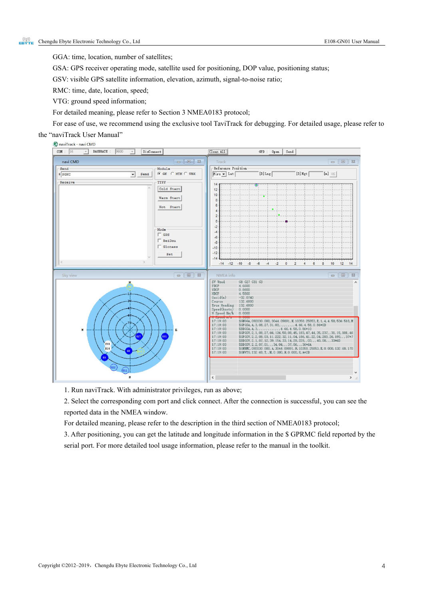GGA: time, location, number of satellites;

GSA: GPS receiver operating mode, satellite used for positioning, DOP value, positioning status;

GSV: visible GPS satellite information, elevation, azimuth, signal-to-noise ratio;

RMC: time, date, location, speed;

VTG: ground speed information;

For detailed meaning, please refer to Section 3 NMEA0183 protocol;

For ease of use, we recommend using the exclusive tool TaviTrack for debugging. For detailed usage, please referto

#### the "naviTrack User Manual"



1. Run naviTrack. With administrator privileges, run as above;

2. Select the corresponding com port and click connect. After the connection is successful, you can see the reported data in the NMEA window.

For detailed meaning, please referto the description in the third section of NMEA0183 protocol;

3. After positioning, you can get the latitude and longitude information in the \$ GPRMC field reported by the serial port. For more detailed tool usage information, please refer to the manual in the toolkit.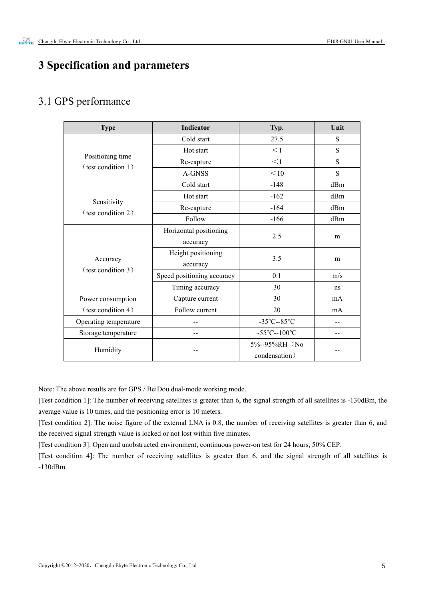### <span id="page-5-0"></span>**3 Specification and parameters**

### <span id="page-5-1"></span>3.1 GPS performance

| <b>Type</b>                            | <b>Indicator</b>           | Typ.                                     |                          |  |
|----------------------------------------|----------------------------|------------------------------------------|--------------------------|--|
|                                        | Cold start                 | 27.5                                     | S                        |  |
|                                        | Hot start                  | $<$ 1                                    | S                        |  |
| Positioning time<br>(test condition 1) | Re-capture                 | $<$ 1                                    | S                        |  |
|                                        | A-GNSS                     | $<$ 10                                   | S                        |  |
|                                        | Cold start                 | $-148$                                   | dBm                      |  |
|                                        | Hot start                  | $-162$                                   | dBm                      |  |
| Sensitivity<br>(test condition 2)      | Re-capture                 | $-164$                                   | dBm                      |  |
|                                        | Follow                     | $-166$                                   | dBm                      |  |
|                                        | Horizontal positioning     | 2.5                                      |                          |  |
|                                        | accuracy                   |                                          | m                        |  |
|                                        | Height positioning         | 3.5                                      |                          |  |
| Accuracy<br>(test condition 3)         | accuracy                   |                                          | m                        |  |
|                                        | Speed positioning accuracy | 0.1<br>m/s                               |                          |  |
|                                        | Timing accuracy            | 30                                       | ns                       |  |
| Power consumption                      | Capture current            | 30                                       | mA                       |  |
| (test condition 4)                     | Follow current             | 20                                       | mA                       |  |
| Operating temperature                  | --                         |                                          | $-$                      |  |
| Storage temperature                    | --                         | -55 $\textdegree$ C--100 $\textdegree$ C | $\overline{\phantom{m}}$ |  |
| Humidity                               |                            | 5%--95%RH (No                            |                          |  |
|                                        |                            | condensation)                            | --                       |  |

Note: The above results are for GPS / BeiDou dual-mode working mode.

[Test condition 1]: The number of receiving satellites is greater than 6, the signal strength of all satellites is -130dBm, the average value is 10 times, and the positioning error is 10 meters.

[Test condition 2]: The noise figure of the external LNA is 0.8, the number of receiving satellites is greater than 6, and the received signal strength value is locked or not lost within five minutes.<br>[Test condition 3]: Open and unobstructed environment, continuous power-on test for 24 hours, 50% CEP.

[Test condition 4]: The number of receiving satellites is greater than 6, and the signal strength of all satellites is -130dBm.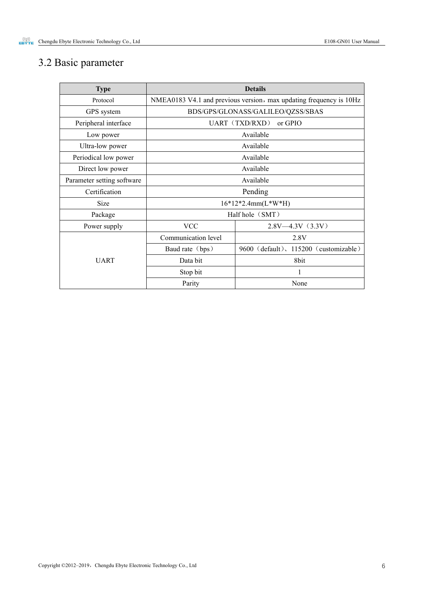# <span id="page-6-0"></span>3.2 Basic parameter

| <b>Type</b>                |                                   | <b>Details</b>                                                     |  |  |  |  |
|----------------------------|-----------------------------------|--------------------------------------------------------------------|--|--|--|--|
| Protocol                   |                                   | NMEA0183 V4.1 and previous version, max updating frequency is 10Hz |  |  |  |  |
| GPS system                 | BDS/GPS/GLONASS/GALILEO/QZSS/SBAS |                                                                    |  |  |  |  |
| Peripheral interface       | UART (TXD/RXD)<br>or GPIO         |                                                                    |  |  |  |  |
| Low power                  |                                   | Available                                                          |  |  |  |  |
| Ultra-low power            |                                   | Available                                                          |  |  |  |  |
| Periodical low power       |                                   | Available                                                          |  |  |  |  |
| Direct low power           |                                   | Available                                                          |  |  |  |  |
| Parameter setting software | Available                         |                                                                    |  |  |  |  |
| Certification              | Pending                           |                                                                    |  |  |  |  |
| Size                       | $16*12*2.4mm(L*W*H)$              |                                                                    |  |  |  |  |
| Package                    | Half hole (SMT)                   |                                                                    |  |  |  |  |
| Power supply               | <b>VCC</b>                        | $2.8V - 4.3V$ (3.3V)                                               |  |  |  |  |
|                            | Communication level               | 2.8V                                                               |  |  |  |  |
|                            | Baud rate (bps)                   | 9600 (default), 115200 (customizable)                              |  |  |  |  |
| <b>UART</b>                | Data bit                          | 8bit                                                               |  |  |  |  |
|                            | Stop bit                          |                                                                    |  |  |  |  |
|                            | Parity                            | None                                                               |  |  |  |  |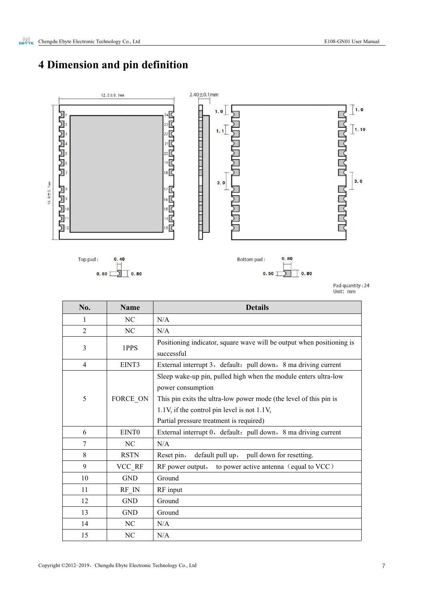# <span id="page-7-0"></span>**Dimension and pin definition**



| No.            | <b>Name</b>        | <b>Details</b>                                                                                                                                                                                                                                      |  |  |  |  |
|----------------|--------------------|-----------------------------------------------------------------------------------------------------------------------------------------------------------------------------------------------------------------------------------------------------|--|--|--|--|
| 1              | NC                 | N/A                                                                                                                                                                                                                                                 |  |  |  |  |
| $\overline{2}$ | NC                 | N/A                                                                                                                                                                                                                                                 |  |  |  |  |
| 3              | 1PPS               | Positioning indicator, square wave will be output when positioning is<br>successful                                                                                                                                                                 |  |  |  |  |
| $\overline{4}$ | EINT3              | External interrupt 3, default: pull down, 8 ma driving current                                                                                                                                                                                      |  |  |  |  |
| 5              | FORCE_ON           | Sleep wake-up pin, pulled high when the module enters ultra-low<br>power consumption<br>This pin exits the ultra-low power mode (the level of this pin is<br>1.1V, if the control pin level is not 1.1V,<br>Partial pressure treatment is required) |  |  |  |  |
| 6              | EINT0              | External interrupt 0, default: pull down, 8 ma driving current                                                                                                                                                                                      |  |  |  |  |
| 7              | NC                 | N/A                                                                                                                                                                                                                                                 |  |  |  |  |
| 8              | <b>RSTN</b>        | default pull up, pull down for resetting.<br>Reset pin,                                                                                                                                                                                             |  |  |  |  |
| 9              | VCC RF             | RF power output, to power active antenna (equal to VCC)                                                                                                                                                                                             |  |  |  |  |
| 10             | <b>GND</b>         | Ground                                                                                                                                                                                                                                              |  |  |  |  |
| 11             | $RF$ <sub>IN</sub> | RF input                                                                                                                                                                                                                                            |  |  |  |  |
| 12             | <b>GND</b>         | Ground                                                                                                                                                                                                                                              |  |  |  |  |
| 13             | <b>GND</b>         | Ground                                                                                                                                                                                                                                              |  |  |  |  |
| 14             | NC                 | N/A                                                                                                                                                                                                                                                 |  |  |  |  |
| 15             | NC                 | N/A                                                                                                                                                                                                                                                 |  |  |  |  |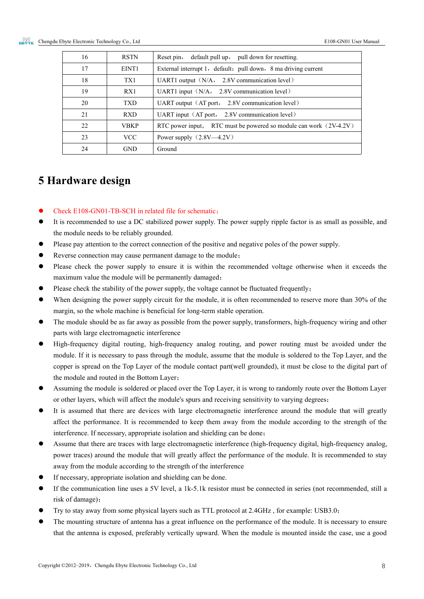#### <span id="page-8-0"></span>**5 Hardware design**

- Check E108-GN01-TB-SCH in related file for schematic;
- It is recommended to use a DC stabilized power supply. The power supply ripple factor is as small as possible, and the module needs to be reliably grounded.
- Please pay attention to the correct connection of the positive and negative poles of the power supply.
- Reverse connection may cause permanent damage to the module;
- Please check the power supply to ensure it is within the recommended voltage otherwise when it exceeds the maximum value the module will be permanently damaged;
- Please check the stability of the power supply, the voltage cannot be fluctuated frequently;
- When designing the power supply circuit for the module, it is often recommended to reserve more than 30% of the margin, so the whole machine is beneficial for long-term stable operation.
- The module should be as far away as possible from the power supply, transformers, high-frequency wiring and other parts with large electromagnetic interference
- High-frequency digital routing, high-frequency analog routing, and power routing must be avoided under the module. If it is necessary to passthrough the module, assume that the module issoldered to the Top Layer, and the copper is spread on the Top Layer of the module contact part(well grounded), it must be close to the digital part of the module and routed in the Bottom Layer;
- Assuming the module is soldered or placed over the Top Layer, it is wrong to randomly route overthe Bottom Layer or other layers, which will affect the module's spurs and receiving sensitivity to varying degrees;
- It is assumed that there are devices with large electromagnetic interference around the module that will greatly affect the performance. It is recommended to keep them away from the module according to the strength of the interference. If necessary, appropriate isolation and shielding can be done;
- Assume that there are traces with large electromagnetic interference (high-frequency digital, high-frequency analog, power traces) around the module that will greatly affect the performance of the module. It is recommended to stay away from the module according to the strength of the interference
- If necessary, appropriate isolation and shielding can be done.
- If the communication line uses a 5V level, a 1k-5.1k resistor must be connected in series (not recommended, still a risk of damage);
- Try to stay away from some physical layers such as TTL protocol at 2.4GHz , for example: USB3.0;
- The mounting structure of antenna has a great influence on the performance of the module. It is necessary to ensure that the antenna is exposed, preferably vertically upward. When the module is mounted inside the case, use a good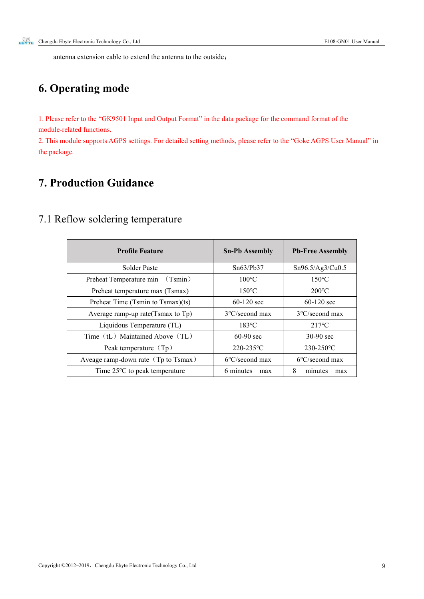antenna extension cable to extend the antenna to the outside;

# <span id="page-9-0"></span>**6. Operating mode**

1. Please refer to the "GK9501 Input and Output Format" in the data package for the command format of the module-related functions.

2. This module supports AGPS settings. For detailed setting methods, please refer to the "Goke AGPS User Manual" in the package.

### <span id="page-9-1"></span>**7. Production Guidance**

### <span id="page-9-2"></span>7.1 Reflow soldering temperature

| <b>Profile Feature</b>                  | <b>Sn-Pb Assembly</b>    | <b>Pb-Free Assembly</b>  |  |
|-----------------------------------------|--------------------------|--------------------------|--|
| Solder Paste                            | Sn63/Pb37                | Sn96.5/Ag3/Cu0.5         |  |
| Preheat Temperature min (Tsmin)         | $100^{\circ}$ C          | $150^{\circ}$ C          |  |
| Preheat temperature max (Tsmax)         | $150^{\circ}$ C          | $200^{\circ}$ C          |  |
| Preheat Time (Tsmin to Tsmax)(ts)       | $60-120$ sec             | $60-120$ sec             |  |
| Average ramp-up rate $(Tsmax$ to $Tp)$  | $3^{\circ}$ C/second max | $3^{\circ}$ C/second max |  |
| Liquidous Temperature (TL)              | $183^{\circ}$ C          | $217^{\circ}$ C          |  |
| Time (tL) Maintained Above (TL)         | $60-90$ sec              | $30-90$ sec              |  |
| Peak temperature $(Tp)$                 | 220-235°C                | $230 - 250$ °C           |  |
| Aveage ramp-down rate (Tp to Tsmax)     | $6^{\circ}$ C/second max | $6^{\circ}$ C/second max |  |
| Time $25^{\circ}$ C to peak temperature | 6 minutes<br>max         | 8<br>minutes<br>max      |  |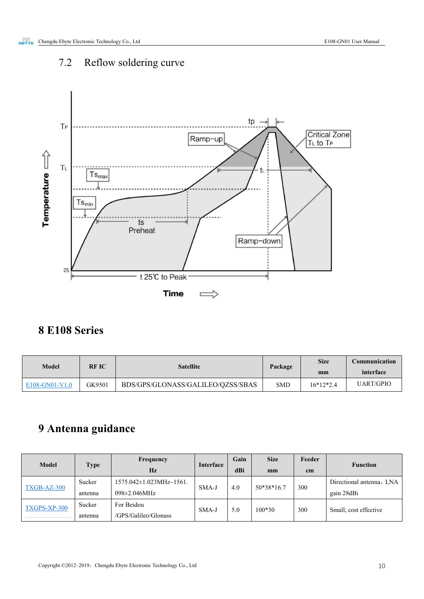# <span id="page-10-0"></span>7.2 Reflow soldering curve



# <span id="page-10-1"></span>**8 E108 Series**

| Model            | <b>RFIC</b><br><b>Satellite</b> |                                   | Package    | <b>Size</b> | Communication    |
|------------------|---------------------------------|-----------------------------------|------------|-------------|------------------|
|                  |                                 |                                   |            | mm          | interface        |
| $E108-GN01-V1.0$ | GK9501                          | BDS/GPS/GLONASS/GALILEO/QZSS/SBAS | <b>SMD</b> | $16*12*2.4$ | <b>UART/GPIO</b> |

# <span id="page-10-2"></span>**9 Antenna guidance**

| Model        | <b>Type</b> | Frequency<br>Hz                      | Interface    | Gain<br>dBi | <b>Size</b><br>mm | Feeder<br>cm | <b>Function</b>          |     |                       |
|--------------|-------------|--------------------------------------|--------------|-------------|-------------------|--------------|--------------------------|-----|-----------------------|
| TXGB-AZ-300  | Sucker      | $1575.042 \pm 1.023 MHz \sim 1561$ . | 4.0<br>SMA-J |             | 50*38*16.7        | 300          | Directional antenna, LNA |     |                       |
|              | antenna     | 098±2.046MHz                         |              |             |                   |              | gain 28dBi               |     |                       |
| TXGPS-XP-300 | Sucker      | For Beidou                           | $SMA-J$      |             |                   | 5.0          | $100*30$                 | 300 | Small, cost effective |
|              | antenna     | /GPS/Galileo/Glonass                 |              |             |                   |              |                          |     |                       |